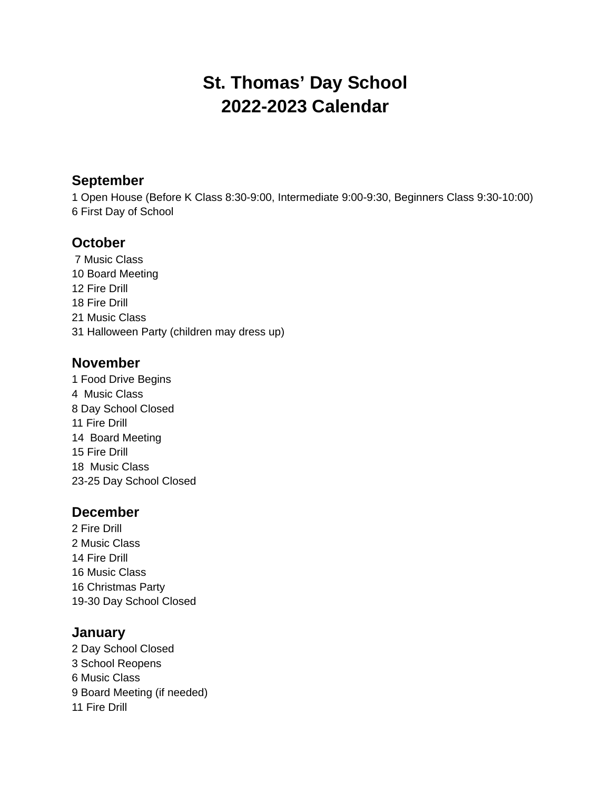# **St. Thomas' Day School 2022-2023 Calendar**

#### **September**

 Open House (Before K Class 8:30-9:00, Intermediate 9:00-9:30, Beginners Class 9:30-10:00) First Day of School

## **October**

 Music Class Board Meeting Fire Drill Fire Drill Music Class Halloween Party (children may dress up)

#### **November**

 Food Drive Begins Music Class Day School Closed Fire Drill Board Meeting Fire Drill Music Class 23-25 Day School Closed

#### **December**

 Fire Drill Music Class Fire Drill Music Class Christmas Party 19-30 Day School Closed

#### **January**

 Day School Closed School Reopens Music Class Board Meeting (if needed) Fire Drill